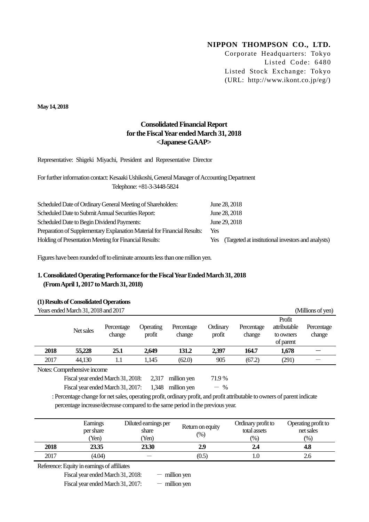# **NIPPON THOMPSON CO., LTD.**

Corporate Headquarters: Tokyo Listed Code: 6480 Listed Stock Exchange: Tokyo (URL: http://www.ikont.co.jp/eg/)

**May 14, 2018**

# **Consolidated Financial Report for the Fiscal Year ended March 31, 2018 <Japanese GAAP>**

Representative: Shigeki Miyachi, President and Representative Director

For further information contact: Kesaaki Ushikoshi, General Manager of Accounting Department Telephone: +81-3-3448-5824

| Scheduled Date of Ordinary General Meeting of Shareholders:              | June 28, 2018                                          |
|--------------------------------------------------------------------------|--------------------------------------------------------|
| Scheduled Date to Submit Annual Securities Report:                       | June 28, 2018                                          |
| Scheduled Date to Begin Dividend Payments:                               | June 29, 2018                                          |
| Preparation of Supplementary Explanation Material for Financial Results: | Yes                                                    |
| Holding of Presentation Meeting for Financial Results:                   | Yes (Targeted at institutional investors and analysts) |

Figures have been rounded off to eliminate amounts less than one million yen.

# **1. Consolidated Operating Performance for the Fiscal Year Ended March 31, 2018 (FromApril 1, 2017 to March 31, 2018)**

|      | (1) Kesulis of Consolidated Operations |                      |                     |                      |                    |                      |                                                  |                      |
|------|----------------------------------------|----------------------|---------------------|----------------------|--------------------|----------------------|--------------------------------------------------|----------------------|
|      | Years ended March 31, 2018 and 2017    |                      |                     |                      |                    |                      |                                                  | (Millions of yen)    |
|      | Net sales                              | Percentage<br>change | Operating<br>profit | Percentage<br>change | Ordinary<br>profit | Percentage<br>change | Profit<br>attributable<br>to owners<br>of parent | Percentage<br>change |
| 2018 | 55,228                                 | 25.1                 | 2,649               | 131.2                | 2,397              | 164.7                | 1,678                                            |                      |
| 2017 | 44,130                                 | 1.1                  | 1,145               | (62.0)               | 905                | (67.2)               | (291)                                            |                      |
|      | Notes: Comprehensive income            |                      |                     |                      |                    |                      |                                                  |                      |

**(1) Results of Consolidated Operations**

Fiscal year ended March 31, 2018: 2,317 million yen 71.9 % Fiscal year ended March 31, 2017:  $1,348$  million yen  $-$  %

: Percentage change for net sales, operating profit, ordinary profit, and profit attributable to owners of parent indicate percentage increase/decrease compared to the same period in the previous year.

|      | Earnings<br>per share<br>Yen) | Diluted earnings per<br>share<br>Yen) | Return on equity<br>$\left(\%\right)$ | Ordinary profit to<br>total assets<br>(%) | Operating profit to<br>net sales<br>(%) |
|------|-------------------------------|---------------------------------------|---------------------------------------|-------------------------------------------|-----------------------------------------|
| 2018 | 23.35                         | 23.30                                 | 2.9                                   | 2.4                                       | 4.8                                     |
| 2017 | (4.04)                        |                                       | (0.5)                                 | 1.0                                       | 2.6                                     |

Reference: Equity in earnings of affiliates

Fiscal year ended March 31, 2018:  $-$  million yen

Fiscal year ended March 31, 2017:  $-$  million yen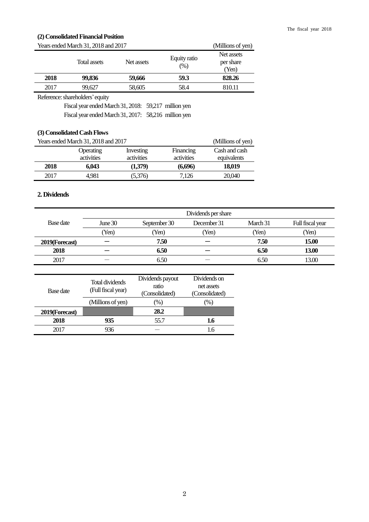## **(2) Consolidated Financial Position**

|      | Years ended March 31, 2018 and 2017 |            | (Millions of yen)    |                                  |  |
|------|-------------------------------------|------------|----------------------|----------------------------------|--|
|      | Total assets                        | Net assets | Equity ratio<br>(% ) | Net assets<br>per share<br>(Yen) |  |
| 2018 | 99.836                              | 59,666     | 59.3                 | 828.26                           |  |
| 2017 | 99.627                              | 58,605     | 58.4                 | 810.11                           |  |

Reference: shareholders'equity

Fiscal year ended March 31, 2018: 59,217 million yen Fiscal year ended March 31, 2017: 58,216 million yen

# **(3) Consolidated Cash Flows**

| Years ended March 31, 2018 and 2017 | (Millions of yen) |            |            |               |
|-------------------------------------|-------------------|------------|------------|---------------|
|                                     | Operating         | Investing  | Financing  | Cash and cash |
|                                     | activities        | activities | activities | equivalents   |
| 2018                                | 6.043             | (1,379)    | (6,696)    | 18,019        |
| 2017                                | 4.981             | (5,376)    | 7.126      | 20,040        |

# **2. Dividends**

|                |            |              | Dividends per share |          |                  |
|----------------|------------|--------------|---------------------|----------|------------------|
| Base date      | June $301$ | September 30 | December 31         | March 31 | Full fiscal year |
|                | Yen)       | Yen)         | Yen)                | (Yen)    | (Yen)            |
| 2019(Forecast) |            | 7.50         |                     | 7.50     | 15.00            |
| 2018           |            | 6.50         |                     | 6.50     | 13.00            |
| 2017           |            | 6.50         |                     | 6.50     | 13.00            |
|                |            |              |                     |          |                  |

| Base date      | Total dividends<br>(Full fiscal year) | Dividends payout<br>ratio<br>(Consolidated) | Dividends on<br>net assets<br>(Consolidated) |  |
|----------------|---------------------------------------|---------------------------------------------|----------------------------------------------|--|
|                | (Millions of yen)                     | (%)                                         | $\%)$                                        |  |
| 2019(Forecast) |                                       | 28.2                                        |                                              |  |
| 2018           | 935                                   | 55.7                                        | 1.6                                          |  |
| 2017           | 936                                   |                                             | I.6                                          |  |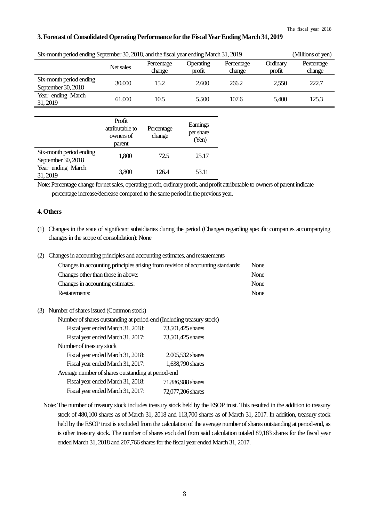### **3. Forecast of Consolidated Operating Performance for the Fiscal YearEnding March 31, 2019**

| Six-month period ending September 30, 2018, and the fiscal year ending March 31, 2019<br>(Millions of yen) |                                                  |                      |                                |                      |                    |                      |  |
|------------------------------------------------------------------------------------------------------------|--------------------------------------------------|----------------------|--------------------------------|----------------------|--------------------|----------------------|--|
|                                                                                                            | Net sales                                        | Percentage<br>change | Operating<br>profit            | Percentage<br>change | Ordinary<br>profit | Percentage<br>change |  |
| Six-month period ending<br>September 30, 2018                                                              | 30,000                                           | 15.2                 | 2,600                          | 266.2                | 2,550              | 222.7                |  |
| Year ending March<br>31, 2019                                                                              | 61,000                                           | 10.5                 | 5,500                          | 107.6                | 5,400              | 125.3                |  |
|                                                                                                            |                                                  |                      |                                |                      |                    |                      |  |
|                                                                                                            | Profit<br>attributable to<br>owners of<br>parent | Percentage<br>change | Earnings<br>per share<br>(Yen) |                      |                    |                      |  |
| Six-month period ending<br>September 30, 2018                                                              | 1,800                                            | 72.5                 | 25.17                          |                      |                    |                      |  |
| Year ending March<br>31, 2019                                                                              | 3,800                                            | 126.4                | 53.11                          |                      |                    |                      |  |

Note: Percentage change for net sales, operating profit, ordinary profit, and profit attributable to owners of parent indicate percentage increase/decrease compared to the same period in the previous year.

### **4. Others**

- (1) Changes in the state of significant subsidiaries during the period (Changes regarding specific companies accompanying changes in the scope of consolidation): None
- (2) Changes in accounting principles and accounting estimates, and restatements

| Changes in accounting principles arising from revision of accounting standards: | None |
|---------------------------------------------------------------------------------|------|
| Changes other than those in above:                                              | None |
| Changes in accounting estimates:                                                | None |
| Restatements:                                                                   | None |

|  | (3) Number of shares issued (Common stock) |
|--|--------------------------------------------|
|--|--------------------------------------------|

| Number of shares outstanding at period-end (Including treasury stock) |                   |
|-----------------------------------------------------------------------|-------------------|
| Fiscal year ended March 31, 2018:                                     | 73,501,425 shares |
| Fiscal year ended March 31, 2017:                                     | 73,501,425 shares |
| Number of treasury stock                                              |                   |
| Fiscal year ended March 31, 2018:                                     | 2,005,532 shares  |
| Fiscal year ended March 31, 2017:                                     | 1,638,790 shares  |
| Average number of shares outstanding at period-end                    |                   |
| Fiscal year ended March 31, 2018:                                     | 71,886,988 shares |
| Fiscal year ended March 31, 2017:                                     | 72,077,206 shares |

Note: The number of treasury stock includes treasury stock held by the ESOP trust. This resulted in the addition to treasury stock of 480,100 shares as of March 31, 2018 and 113,700 shares as of March 31, 2017. In addition, treasury stock held by the ESOP trust is excluded from the calculation of the average number of shares outstanding at period-end, as is other treasury stock. The number of shares excluded from said calculation totaled 89,183 shares for the fiscal year ended March 31, 2018 and 207,766 shares for the fiscal year ended March 31, 2017.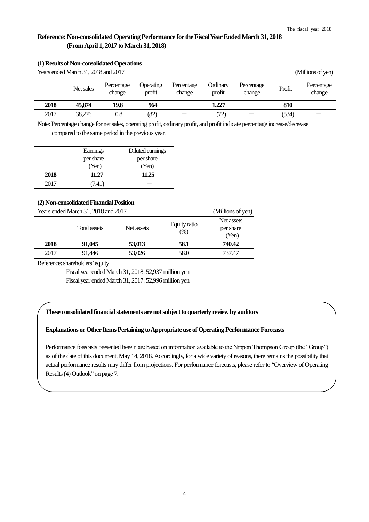# **Reference: Non-consolidated Operating Performance for the Fiscal Year Ended March 31, 2018 (FromApril 1, 2017 to March 31, 2018)**

|                                                          | (1) Results of Non-consolidated Operations |      |      |                      |                    |                      |        |                      |  |
|----------------------------------------------------------|--------------------------------------------|------|------|----------------------|--------------------|----------------------|--------|----------------------|--|
| Years ended March 31, 2018 and 2017<br>(Millions of yen) |                                            |      |      |                      |                    |                      |        |                      |  |
| Operating<br>Percentage<br>Net sales<br>profit<br>change |                                            |      |      | Percentage<br>change | Ordinary<br>profit | Percentage<br>change | Profit | Percentage<br>change |  |
| 2018                                                     | 45,874                                     | 19.8 | 964  |                      | 1,227              |                      | 810    |                      |  |
| 2017                                                     | 38.276                                     | 0.8  | (82) |                      | (72)               |                      | (534)  |                      |  |

Note: Percentage change for net sales, operating profit, ordinary profit, and profit indicate percentage increase/decrease compared to the same period in the previous year.

|      | Earnings<br>per share<br>(Yen) | Diluted earnings<br>per share<br>(Yen) |
|------|--------------------------------|----------------------------------------|
| 2018 | 11.27                          | 11.25                                  |
| 2017 | 7.41)                          |                                        |

## **(2) Non-consolidated Financial Position**

|      | Years ended March 31, 2018 and 2017 |            |                     | (Millions of yen)                |
|------|-------------------------------------|------------|---------------------|----------------------------------|
|      | Total assets                        | Net assets | Equity ratio<br>(%) | Net assets<br>per share<br>(Yen) |
| 2018 | 91.045                              | 53,013     | 58.1                | 740.42                           |
| 2017 | 91.446                              | 53,026     | 58.0                | 737.47                           |

Reference: shareholders'equity

Fiscal year endedMarch 31, 2018: 52,937 million yen Fiscal year endedMarch 31, 2017: 52,996 million yen

## **These consolidated financial statements are not subject to quarterly review by auditors**

### **Explanations or Other Items Pertaining to Appropriate use of Operating PerformanceForecasts**

Performance forecasts presented herein are based on information available to the Nippon Thompson Group (the "Group") as of the date of this document, May 14, 2018. Accordingly, for a wide variety of reasons, there remains the possibility that actual performance results may differ from projections. For performance forecasts, please refer to "Overview of Operating Results (4) Outlook" on page 7.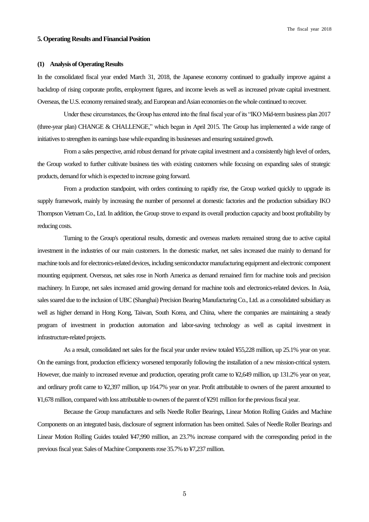#### **5. Operating Results and Financial Position**

#### **(1) Analysis of Operating Results**

In the consolidated fiscal year ended March 31, 2018, the Japanese economy continued to gradually improve against a backdrop of rising corporate profits, employment figures, and income levels as well as increased private capital investment. Overseas, the U.S. economy remained steady, and European and Asian economies on the whole continued to recover.

Under these circumstances, the Group has entered into the final fiscal year of its "IKO Mid-term business plan 2017 (three-year plan) CHANGE & CHALLENGE," which began in April 2015. The Group has implemented a wide range of initiatives to strengthen its earnings base while expanding its businesses and ensuring sustained growth.

From a sales perspective, amid robust demand for private capital investment and a consistently high level of orders, the Group worked to further cultivate business ties with existing customers while focusing on expanding sales of strategic products, demand for which is expected to increase going forward.

From a production standpoint, with orders continuing to rapidly rise, the Group worked quickly to upgrade its supply framework, mainly by increasing the number of personnel at domestic factories and the production subsidiary IKO Thompson Vietnam Co., Ltd. In addition, the Group strove to expand its overall production capacity and boost profitability by reducing costs.

Turning to the Group's operational results, domestic and overseas markets remained strong due to active capital investment in the industries of our main customers. In the domestic market, net sales increased due mainly to demand for machine tools and for electronics-related devices, including semiconductor manufacturing equipment and electronic component mounting equipment. Overseas, net sales rose in North America as demand remained firm for machine tools and precision machinery. In Europe, net sales increased amid growing demand for machine tools and electronics-related devices. In Asia, sales soared due to the inclusion of UBC (Shanghai) Precision Bearing Manufacturing Co., Ltd. as a consolidated subsidiary as well as higher demand in Hong Kong, Taiwan, South Korea, and China, where the companies are maintaining a steady program of investment in production automation and labor-saving technology as well as capital investment in infrastructure-related projects.

As a result, consolidated net sales for the fiscal year under review totaled ¥55,228 million, up 25.1% year on year. On the earnings front, production efficiency worsened temporarily following the installation of a new mission-critical system. However, due mainly to increased revenue and production, operating profit came to ¥2,649 million, up 131.2% year on year, and ordinary profit came to ¥2,397 million, up 164.7% year on year. Profit attributable to owners of the parent amounted to ¥1,678 million, compared with loss attributable to owners of the parent of ¥291 million for the previous fiscal year.

Because the Group manufactures and sells Needle Roller Bearings, Linear Motion Rolling Guides and Machine Components on an integrated basis, disclosure of segment information has been omitted. Sales of Needle Roller Bearings and Linear Motion Rolling Guides totaled ¥47,990 million, an 23.7% increase compared with the corresponding period in the previous fiscal year. Sales of Machine Components rose 35.7% to ¥7,237 million.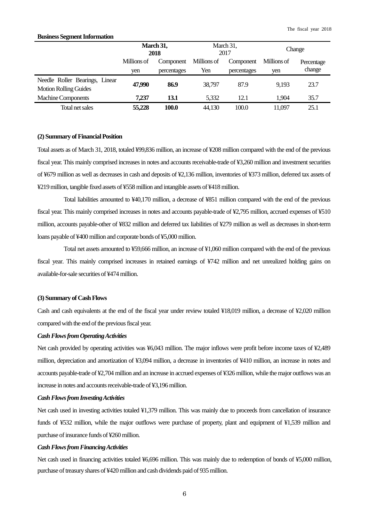#### **Business Segment Information**

|                                                                | March 31,<br>2018 |             | March 31,<br>2017 |             | Change      |            |
|----------------------------------------------------------------|-------------------|-------------|-------------------|-------------|-------------|------------|
|                                                                | Millions of       | Component   | Millions of       | Component   | Millions of | Percentage |
|                                                                | yen               | percentages | Yen               | percentages | yen         | change     |
| Needle Roller Bearings, Linear<br><b>Motion Rolling Guides</b> | 47,990            | 86.9        | 38.797            | 87.9        | 9.193       | 23.7       |
| <b>Machine Components</b>                                      | 7,237             | 13.1        | 5.332             | 12.1        | 1.904       | 35.7       |
| Total net sales                                                | 55,228            | 100.0       | 44,130            | 100.0       | 11.097      | 25.1       |

#### **(2) Summary of Financial Position**

Total assets as of March 31, 2018, totaled ¥99,836 million, an increase of ¥208 million compared with the end of the previous fiscal year. This mainly comprised increases in notes and accounts receivable-trade of ¥3,260 million and investment securities of ¥679 million as well as decreases in cash and deposits of ¥2,136 million, inventories of ¥373 million, deferred tax assets of ¥219million, tangible fixed assets of ¥558 million and intangible assets of ¥418 million.

Total liabilities amounted to ¥40,170 million, a decrease of ¥851 million compared with the end of the previous fiscal year. This mainly comprised increases in notes and accounts payable-trade of ¥2,795 million, accrued expenses of ¥510 million, accounts payable-other of ¥832 million and deferred tax liabilities of ¥279 million as well as decreases in short-term loans payable of ¥400 million and corporate bonds of ¥5,000 million.

Total net assets amounted to ¥59,666 million, an increase of ¥1,060 million compared with the end of the previous fiscal year. This mainly comprised increases in retained earnings of ¥742 million and net unrealized holding gains on available-for-sale securities of ¥474million.

#### **(3) Summary of Cash Flows**

Cash and cash equivalents at the end of the fiscal year under review totaled ¥18,019 million, a decrease of ¥2,020 million compared with the end of the previous fiscal year.

#### *Cash Flows from Operating Activities*

Net cash provided by operating activities was ¥6,043 million. The major inflows were profit before income taxes of ¥2,489 million, depreciation and amortization of ¥3,094 million, a decrease in inventories of ¥410 million, an increase in notes and accounts payable-trade of ¥2,704 million and an increase in accrued expenses of ¥326 million, while the major outflows was an increase in notes and accounts receivable-trade of ¥3,196 million.

#### *Cash Flows from Investing Activities*

Net cash used in investing activities totaled ¥1,379 million. This was mainly due to proceeds from cancellation of insurance funds of ¥532 million, while the major outflows were purchase of property, plant and equipment of ¥1,539 million and purchase of insurance funds of ¥260 million.

#### *Cash Flows from Financing Activities*

Net cash used in financing activities totaled ¥6,696 million. This was mainly due to redemption of bonds of ¥5,000 million, purchase of treasury shares of ¥420 million and cash dividends paid of 935 million.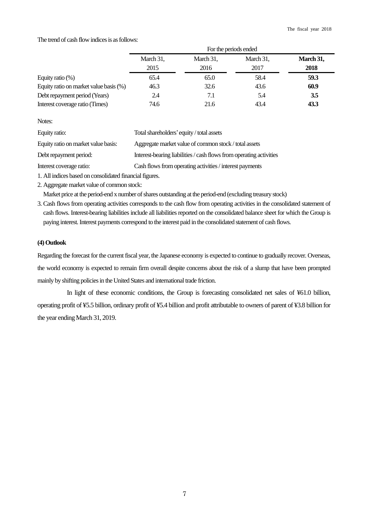The trend of cash flow indices is as follows:

|                                        | For the periods ended |                   |                   |                   |  |
|----------------------------------------|-----------------------|-------------------|-------------------|-------------------|--|
|                                        | March 31,<br>2015     | March 31,<br>2016 | March 31,<br>2017 | March 31,<br>2018 |  |
| Equity ratio $(\%)$                    | 65.4                  | 65.0              | 58.4              | 59.3              |  |
| Equity ratio on market value basis (%) | 46.3                  | 32.6              | 43.6              | 60.9              |  |
| Debt repayment period (Years)          | 2.4                   | 7.1               | 5.4               | 3.5               |  |
| Interest coverage ratio (Times)        | 74.6                  | 21.6              | 43.4              | 43.3              |  |

Notes:

| Equity ratio:                       | Total shareholders' equity / total assets                           |
|-------------------------------------|---------------------------------------------------------------------|
| Equity ratio on market value basis: | Aggregate market value of common stock / total assets               |
| Debt repayment period:              | Interest-bearing liabilities / cash flows from operating activities |
| Interest coverage ratio:            | Cash flows from operating activities / interest payments            |

1. All indices based on consolidated financial figures.

2. Aggregate market value of common stock:

Market price at the period-end x number of shares outstanding at the period-end (excluding treasury stock)

3. Cash flows from operating activities corresponds to the cash flow from operating activities in the consolidated statement of cash flows. Interest-bearing liabilities include all liabilities reported on the consolidated balance sheet for which the Group is paying interest. Interest payments correspond to the interest paid in the consolidated statement of cash flows.

### **(4) Outlook**

Regarding the forecast for the current fiscal year, the Japanese economy is expected to continue to gradually recover. Overseas, the world economy is expected to remain firm overall despite concerns about the risk of a slump that have been prompted mainly by shifting policies in the United States and international trade friction.

 In light of these economic conditions, the Group is forecasting consolidated net sales of ¥61.0 billion, operating profit of ¥5.5 billion, ordinary profit of ¥5.4 billion and profit attributable to owners of parent of ¥3.8 billion for the year ending March 31, 2019.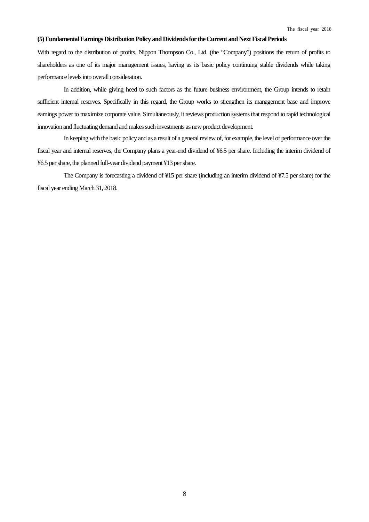### **(5) Fundamental Earnings Distribution Policy and Dividends for the Current and Next Fiscal Periods**

With regard to the distribution of profits, Nippon Thompson Co., Ltd. (the "Company") positions the return of profits to shareholders as one of its major management issues, having as its basic policy continuing stable dividends while taking performance levels into overall consideration.

In addition, while giving heed to such factors as the future business environment, the Group intends to retain sufficient internal reserves. Specifically in this regard, the Group works to strengthen its management base and improve earnings power to maximize corporate value. Simultaneously, it reviews production systems that respond to rapid technological innovation and fluctuating demand and makes such investments as new product development.

In keeping with the basic policy and as a result of a general review of, for example, the level of performance over the fiscal year and internal reserves, the Company plans a year-end dividend of ¥6.5 per share. Including the interim dividend of ¥6.5 per share, the planned full-year dividend payment ¥13 per share.

The Company is forecasting a dividend of ¥15 per share (including an interim dividend of ¥7.5 per share) for the fiscal year ending March 31, 2018.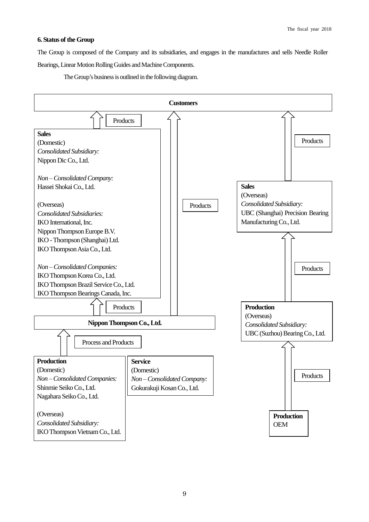### **6. Status of the Group**

The Group is composed of the Company and its subsidiaries, and engages in the manufactures and sells Needle Roller

Bearings, Linear Motion Rolling Guides and Machine Components.

The Group's business is outlined in the following diagram.

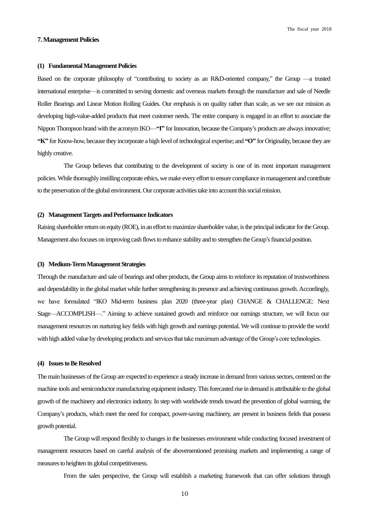#### **7. Management Policies**

#### **(1) Fundamental Management Policies**

Based on the corporate philosophy of "contributing to society as an R&D-oriented company," the Group —a trusted international enterprise—is committed to serving domestic and overseas markets through the manufacture and sale of Needle Roller Bearings and Linear Motion Rolling Guides. Our emphasis is on quality rather than scale, as we see our mission as developing high-value-added products that meet customer needs. The entire company is engaged in an effort to associate the Nippon Thompson brand with the acronymIKO—**"I"** for Innovation, because the Company's products are always innovative; **"K"** for Know-how, because they incorporate a high level of technological expertise; and **"O"** for Originality, because they are highly creative.

The Group believes that contributing to the development of society is one of its most important management policies. While thoroughly instilling corporate ethics, we make every effort to ensure compliance in management and contribute to the preservation ofthe global environment. Our corporate activities take into account this social mission.

#### **(2) Management Targets and Performance Indicators**

Raising shareholder return on equity (ROE), in an effort to maximize shareholder value, is the principal indicator for the Group. Management also focuses on improving cash flows to enhance stability and to strengthen the Group's financial position.

#### **(3) Medium-Term Management Strategies**

Through the manufacture and sale of bearings and other products, the Group aims to reinforce its reputation of trustworthiness and dependability in the global market while further strengthening its presence and achieving continuous growth. Accordingly, we have formulated "IKO Mid-term business plan 2020 (three-year plan) CHANGE & CHALLENGE: Next Stage—ACCOMPLISH—." Aiming to achieve sustained growth and reinforce our earnings structure, we will focus our management resources on nurturing key fields with high growth and earnings potential. We will continue to provide the world with high added value by developing products and services that take maximum advantage of the Group's core technologies.

#### **(4) Issues to Be Resolved**

The main businesses of the Group are expected to experience a steady increase in demand from various sectors, centered on the machine tools and semiconductor manufacturing equipment industry. This forecasted rise in demand is attributable to the global growth of the machinery and electronics industry. In step with worldwide trends toward the prevention of global warming, the Company's products, which meet the need for compact, power-saving machinery, are present in business fields that possess growth potential.

The Group will respond flexibly to changes in the businesses environment while conducting focused investment of management resources based on careful analysis of the abovementioned promising markets and implementing a range of measures to heighten its global competitiveness.

From the sales perspective, the Group will establish a marketing framework that can offer solutions through

10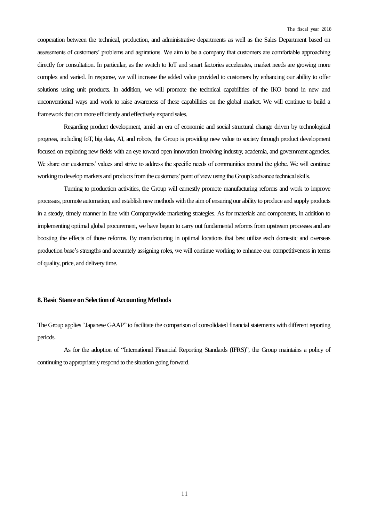cooperation between the technical, production, and administrative departments as well as the Sales Department based on assessments of customers' problems and aspirations. We aim to be a company that customers are comfortable approaching directly for consultation. In particular, as the switch to IoT and smart factories accelerates, market needs are growing more complex and varied. In response, we will increase the added value provided to customers by enhancing our ability to offer solutions using unit products. In addition, we will promote the technical capabilities of the IKO brand in new and unconventional ways and work to raise awareness of these capabilities on the global market. We will continue to build a framework that can more efficiently and effectively expand sales.

Regarding product development, amid an era of economic and social structural change driven by technological progress, including IoT, big data, AI, and robots, the Group is providing new value to society through product development focused on exploring new fields with an eye toward open innovation involving industry, academia, and government agencies. We share our customers' values and strive to address the specific needs of communities around the globe. We will continue working to develop markets and products from the customers' point of view using the Group's advance technical skills.

Turning to production activities, the Group will earnestly promote manufacturing reforms and work to improve processes, promote automation, and establish new methods with the aim of ensuring our ability to produce and supply products in a steady, timely manner in line with Companywide marketing strategies. As for materials and components, in addition to implementing optimal global procurement, we have begun to carry out fundamental reforms from upstream processes and are boosting the effects of those reforms. By manufacturing in optimal locations that best utilize each domestic and overseas production base's strengths and accurately assigning roles, we will continue working to enhance our competitiveness in terms of quality, price, and delivery time.

#### **8. Basic Stance on Selection of Accounting Methods**

The Group applies "Japanese GAAP" to facilitate the comparison of consolidated financial statements with different reporting periods.

As for the adoption of "International Financial Reporting Standards (IFRS)", the Group maintains a policy of continuing to appropriately respond to the situation going forward.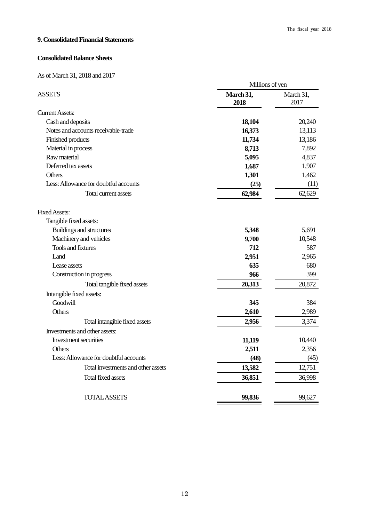# **9. Consolidated Financial Statements**

# **Consolidated Balance Sheets**

As of March 31, 2018 and 2017

|                                       | Millions of yen   |                   |  |  |
|---------------------------------------|-------------------|-------------------|--|--|
| <b>ASSETS</b>                         | March 31,<br>2018 | March 31,<br>2017 |  |  |
| <b>Current Assets:</b>                |                   |                   |  |  |
| Cash and deposits                     | 18,104            | 20,240            |  |  |
| Notes and accounts receivable-trade   | 16,373            | 13,113            |  |  |
| Finished products                     | 11,734            | 13,186            |  |  |
| Material in process                   | 8,713             | 7,892             |  |  |
| Raw material                          | 5,095             | 4,837             |  |  |
| Deferred tax assets                   | 1,687             | 1,907             |  |  |
| Others                                | 1,301             | 1,462             |  |  |
| Less: Allowance for doubtful accounts | (25)              | (11)              |  |  |
| Total current assets                  | 62,984            | 62,629            |  |  |
| <b>Fixed Assets:</b>                  |                   |                   |  |  |
| Tangible fixed assets:                |                   |                   |  |  |
| <b>Buildings and structures</b>       | 5,348             | 5,691             |  |  |
| Machinery and vehicles                | 9,700             | 10,548            |  |  |
| Tools and fixtures                    | 712               | 587               |  |  |
| Land                                  | 2,951             | 2,965             |  |  |
| Lease assets                          | 635               | 680               |  |  |
| Construction in progress              | 966               | 399               |  |  |
| Total tangible fixed assets           | 20,313            | 20,872            |  |  |
| Intangible fixed assets:              |                   |                   |  |  |
| Goodwill                              | 345               | 384               |  |  |
| Others                                | 2,610             | 2,989             |  |  |
| Total intangible fixed assets         | 2,956             | 3,374             |  |  |
| Investments and other assets:         |                   |                   |  |  |
| Investment securities                 | 11,119            | 10,440            |  |  |
| Others                                | 2,511             | 2,356             |  |  |
| Less: Allowance for doubtful accounts | (48)              | (45)              |  |  |
| Total investments and other assets    | 13,582            | 12,751            |  |  |
| Total fixed assets                    | 36,851            | 36,998            |  |  |
| <b>TOTAL ASSETS</b>                   | 99,836            | 99,627            |  |  |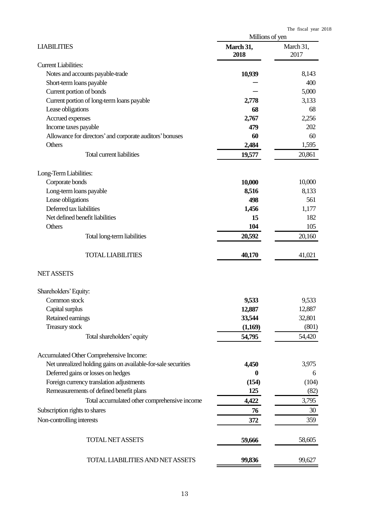|                                                               | Millions of yen   | The fiscal year 2018 |
|---------------------------------------------------------------|-------------------|----------------------|
| <b>LIABILITIES</b>                                            | March 31,<br>2018 | March 31,<br>2017    |
| <b>Current Liabilities:</b>                                   |                   |                      |
| Notes and accounts payable-trade                              | 10,939            | 8,143                |
| Short-term loans payable                                      |                   | 400                  |
| Current portion of bonds                                      |                   | 5,000                |
| Current portion of long-term loans payable                    | 2,778             | 3,133                |
| Lease obligations                                             | 68                | 68                   |
| Accrued expenses                                              | 2,767             | 2,256                |
| Income taxes payable                                          | 479               | 202                  |
| Allowance for directors' and corporate auditors' bonuses      | 60                | 60                   |
| Others                                                        | 2,484             | 1,595                |
| Total current liabilities                                     | 19,577            | 20,861               |
| Long-Term Liabilities:                                        |                   |                      |
| Corporate bonds                                               | 10,000            | 10,000               |
| Long-term loans payable                                       | 8,516             | 8,133                |
| Lease obligations                                             | 498               | 561                  |
| Deferred tax liabilities                                      | 1,456             | 1,177                |
| Net defined benefit liabilities                               | 15                | 182                  |
| Others                                                        | 104               | 105                  |
| Total long-term liabilities                                   | 20,592            | 20,160               |
| <b>TOTAL LIABILITIES</b>                                      | 40,170            | 41,021               |
| <b>NET ASSETS</b>                                             |                   |                      |
| Shareholders' Equity:                                         |                   |                      |
| Common stock                                                  | 9,533             | 9,533                |
| Capital surplus                                               | 12,887            | 12,887               |
| Retained earnings                                             | 33,544            | 32,801               |
| Treasury stock                                                | (1,169)           | (801)                |
| Total shareholders' equity                                    | 54,795            | 54,420               |
| Accumulated Other Comprehensive Income:                       |                   |                      |
| Net unrealized holding gains on available-for-sale securities | 4,450             | 3,975                |
| Deferred gains or losses on hedges                            | $\mathbf 0$       | 6                    |
| Foreign currency translation adjustments                      | (154)             | (104)                |
| Remeasurements of defined benefit plans                       | 125               | (82)                 |
| Total accumulated other comprehensive income                  | 4,422             | 3,795                |
| Subscription rights to shares                                 | 76                | 30                   |
| Non-controlling interests                                     | 372               | 359                  |
| <b>TOTAL NET ASSETS</b>                                       | 59,666            | 58,605               |
| TOTAL LIABILITIES AND NET ASSETS                              | 99,836            | 99,627               |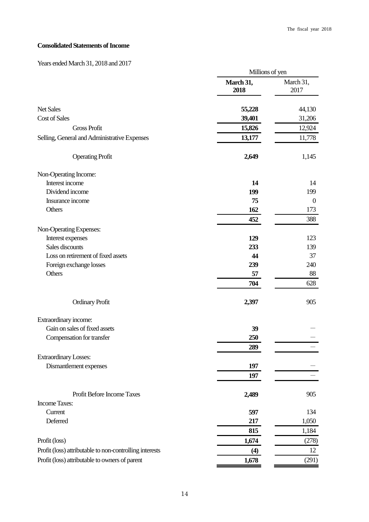# **Consolidated Statements of Income**

# Years ended March 31, 2018 and 2017

|                                                         | Millions of yen   |                   |
|---------------------------------------------------------|-------------------|-------------------|
|                                                         | March 31,<br>2018 | March 31,<br>2017 |
| Net Sales                                               | 55,228            | 44,130            |
| <b>Cost of Sales</b>                                    | 39,401            | 31,206            |
| <b>Gross Profit</b>                                     | 15,826            | 12,924            |
| Selling, General and Administrative Expenses            | 13,177            | 11,778            |
| <b>Operating Profit</b>                                 | 2,649             | 1,145             |
| Non-Operating Income:                                   |                   |                   |
| Interest income                                         | 14                | 14                |
| Dividend income                                         | 199               | 199               |
| Insurance income                                        | 75                | $\boldsymbol{0}$  |
| Others                                                  | 162               | 173               |
|                                                         | 452               | 388               |
| Non-Operating Expenses:                                 |                   |                   |
| Interest expenses                                       | 129               | 123               |
| Sales discounts                                         | 233               | 139               |
| Loss on retirement of fixed assets                      | 44                | 37                |
| Foreign exchange losses                                 | 239               | 240               |
| Others                                                  | 57                | 88                |
|                                                         | 704               | 628               |
| <b>Ordinary Profit</b>                                  | 2,397             | 905               |
| Extraordinary income:                                   |                   |                   |
| Gain on sales of fixed assets                           | 39                |                   |
| Compensation for transfer                               | 250               |                   |
|                                                         | 289               |                   |
| <b>Extraordinary Losses:</b>                            |                   |                   |
| Dismantlement expenses                                  | 197               |                   |
|                                                         | 197               |                   |
| Profit Before Income Taxes                              | 2,489             | 905               |
| <b>Income Taxes:</b>                                    |                   |                   |
| Current                                                 | 597               | 134               |
| Deferred                                                | 217               | 1,050             |
|                                                         | 815               | 1,184             |
| Profit (loss)                                           | 1,674             | (278)             |
| Profit (loss) attributable to non-controlling interests | (4)               | 12                |
| Profit (loss) attributable to owners of parent          | 1,678             | (291)             |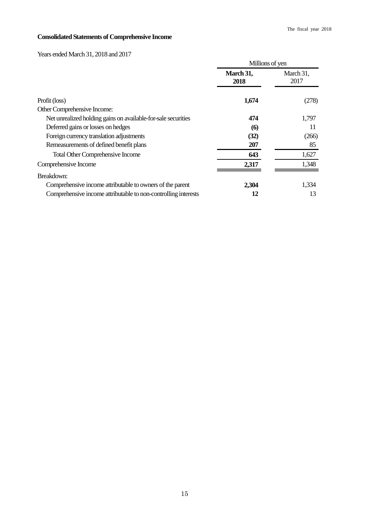# **Consolidated Statements of Comprehensive Income**

# Years ended March 31, 2018 and 2017

|                                                                | Millions of yen   |                   |  |
|----------------------------------------------------------------|-------------------|-------------------|--|
|                                                                | March 31,<br>2018 | March 31,<br>2017 |  |
| Profit (loss)                                                  | 1,674             | (278)             |  |
| Other Comprehensive Income:                                    |                   |                   |  |
| Net unrealized holding gains on available-for-sale securities  | 474               | 1,797             |  |
| Deferred gains or losses on hedges                             | <b>(6)</b>        | 11                |  |
| Foreign currency translation adjustments                       | (32)              | (266)             |  |
| Remeasurements of defined benefit plans                        | 207               | 85                |  |
| <b>Total Other Comprehensive Income</b>                        | 643               | 1,627             |  |
| Comprehensive Income                                           | 2,317             | 1,348             |  |
| Breakdown:                                                     |                   |                   |  |
| Comprehensive income attributable to owners of the parent      | 2,304             | 1,334             |  |
| Comprehensive income attributable to non-controlling interests | 12                | 13                |  |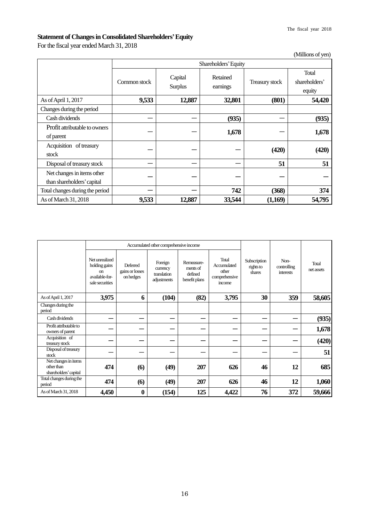# **Statement of Changes in Consolidated Shareholders'Equity**

For the fiscal year ended March 31, 2018

|                                                          |              |                           |                      |                | (Millions of yen)                |  |  |  |
|----------------------------------------------------------|--------------|---------------------------|----------------------|----------------|----------------------------------|--|--|--|
|                                                          |              | Shareholders' Equity      |                      |                |                                  |  |  |  |
|                                                          | Common stock | Capital<br><b>Surplus</b> | Retained<br>earnings | Treasury stock | Total<br>shareholders'<br>equity |  |  |  |
| As of April 1, 2017                                      | 9,533        | 12,887                    | 32,801               | (801)          | 54,420                           |  |  |  |
| Changes during the period                                |              |                           |                      |                |                                  |  |  |  |
| Cash dividends                                           |              |                           | (935)                |                | (935)                            |  |  |  |
| Profit attributable to owners<br>of parent               |              |                           | 1,678                |                | 1,678                            |  |  |  |
| Acquisition of treasury<br>stock                         |              |                           |                      | (420)          | (420)                            |  |  |  |
| Disposal of treasury stock                               |              |                           |                      | 51             | 51                               |  |  |  |
| Net changes in items other<br>than shareholders' capital |              |                           |                      |                |                                  |  |  |  |
| Total changes during the period                          |              |                           | 742                  | (368)          | 374                              |  |  |  |
| As of March 31, 2018                                     | 9,533        | 12,887                    | 33,544               | (1,169)        | 54,795                           |  |  |  |

|                                                             |                                                                                       |                                                 | Accumulated other comprehensive income            |                                                    |                                                          |                                     |                                  |                     |
|-------------------------------------------------------------|---------------------------------------------------------------------------------------|-------------------------------------------------|---------------------------------------------------|----------------------------------------------------|----------------------------------------------------------|-------------------------------------|----------------------------------|---------------------|
|                                                             | Net unrealized<br>holding gains<br><sub>on</sub><br>available-for-<br>sale securities | <b>Deferred</b><br>gains or losses<br>on hedges | Foreign<br>currency<br>translation<br>adjustments | Remeasure-<br>ments of<br>defined<br>benefit plans | Total<br>Accumulated<br>other<br>comprehensive<br>income | Subscription<br>rights to<br>shares | Non-<br>controlling<br>interests | Total<br>net assets |
| As of April 1, 2017                                         | 3,975                                                                                 | 6                                               | (104)                                             | (82)                                               | 3,795                                                    | 30                                  | 359                              | 58,605              |
| Changes during the<br>period                                |                                                                                       |                                                 |                                                   |                                                    |                                                          |                                     |                                  |                     |
| Cash dividends                                              |                                                                                       |                                                 |                                                   |                                                    |                                                          |                                     |                                  | (935)               |
| Profit attributable to<br>owners of parent                  |                                                                                       |                                                 |                                                   |                                                    |                                                          |                                     |                                  | 1,678               |
| Acquisition of<br>treasury stock                            |                                                                                       |                                                 |                                                   |                                                    |                                                          |                                     |                                  | (420)               |
| Disposal of treasury<br>stock                               |                                                                                       |                                                 |                                                   |                                                    |                                                          |                                     |                                  | 51                  |
| Net changes in items<br>other than<br>shareholders' capital | 474                                                                                   | (6)                                             | (49)                                              | 207                                                | 626                                                      | 46                                  | 12                               | 685                 |
| Total changes during the<br>period                          | 474                                                                                   | (6)                                             | (49)                                              | 207                                                | 626                                                      | 46                                  | 12                               | 1,060               |
| As of March 31, 2018                                        | 4,450                                                                                 | 0                                               | (154)                                             | 125                                                | 4,422                                                    | 76                                  | 372                              | 59,666              |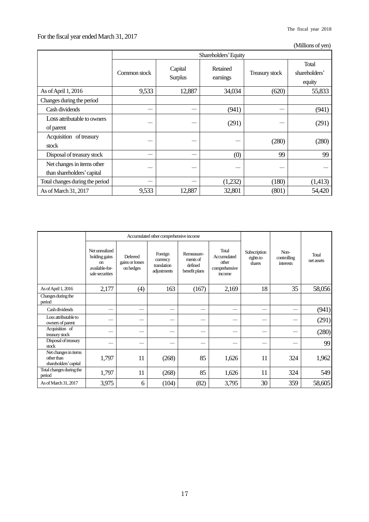# For the fiscal year ended March 31, 2017

(Millions of yen)

|                                                          | Shareholders' Equity |                           |                      |                |                                  |  |  |
|----------------------------------------------------------|----------------------|---------------------------|----------------------|----------------|----------------------------------|--|--|
|                                                          | Common stock         | Capital<br><b>Surplus</b> | Retained<br>earnings | Treasury stock | Total<br>shareholders'<br>equity |  |  |
| As of April 1, 2016                                      | 9,533                | 12,887                    | 34,034               | (620)          | 55,833                           |  |  |
| Changes during the period                                |                      |                           |                      |                |                                  |  |  |
| Cash dividends                                           |                      |                           | (941)                |                | (941)                            |  |  |
| Loss attributable to owners<br>of parent                 |                      |                           | (291)                |                | (291)                            |  |  |
| Acquisition of treasury<br>stock                         |                      |                           |                      | (280)          | (280)                            |  |  |
| Disposal of treasury stock                               |                      |                           | (0)                  | 99             | 99                               |  |  |
| Net changes in items other<br>than shareholders' capital |                      |                           |                      |                |                                  |  |  |
| Total changes during the period                          |                      |                           | (1,232)              | (180)          | (1, 413)                         |  |  |
| As of March 31, 2017                                     | 9,533                | 12,887                    | 32,801               | (801)          | 54,420                           |  |  |

|                                                             |                                                                                       |                                                 | Accumulated other comprehensive income            |                                                    |                                                          |                                     |                                  |                     |
|-------------------------------------------------------------|---------------------------------------------------------------------------------------|-------------------------------------------------|---------------------------------------------------|----------------------------------------------------|----------------------------------------------------------|-------------------------------------|----------------------------------|---------------------|
|                                                             | Net unrealized<br>holding gains<br><sub>on</sub><br>available-for-<br>sale securities | <b>Deferred</b><br>gains or losses<br>on hedges | Foreign<br>currency<br>translation<br>adjustments | Remeasure-<br>ments of<br>defined<br>benefit plans | Total<br>Accumulated<br>other<br>comprehensive<br>income | Subscription<br>rights to<br>shares | Non-<br>controlling<br>interests | Total<br>net assets |
| As of April 1, 2016                                         | 2,177                                                                                 | (4)                                             | 163                                               | (167)                                              | 2,169                                                    | 18                                  | 35                               | 58,056              |
| Changes during the<br>period                                |                                                                                       |                                                 |                                                   |                                                    |                                                          |                                     |                                  |                     |
| Cash dividends                                              |                                                                                       |                                                 | --                                                |                                                    | -                                                        |                                     |                                  | (941)               |
| Loss attributable to<br>owners of parent                    |                                                                                       |                                                 |                                                   |                                                    |                                                          |                                     |                                  | (291)               |
| Acquisition of<br>treasury stock                            |                                                                                       |                                                 |                                                   |                                                    |                                                          |                                     |                                  | (280)               |
| Disposal of treasury<br>stock                               |                                                                                       |                                                 |                                                   |                                                    |                                                          |                                     |                                  | 99                  |
| Net changes in items<br>other than<br>shareholders' capital | 1,797                                                                                 | 11                                              | (268)                                             | 85                                                 | 1,626                                                    | 11                                  | 324                              | 1,962               |
| Total changes during the<br>period                          | 1,797                                                                                 | 11                                              | (268)                                             | 85                                                 | 1,626                                                    | 11                                  | 324                              | 549                 |
| As of March 31, 2017                                        | 3,975                                                                                 | 6                                               | (104)                                             | (82)                                               | 3,795                                                    | 30                                  | 359                              | 58,605              |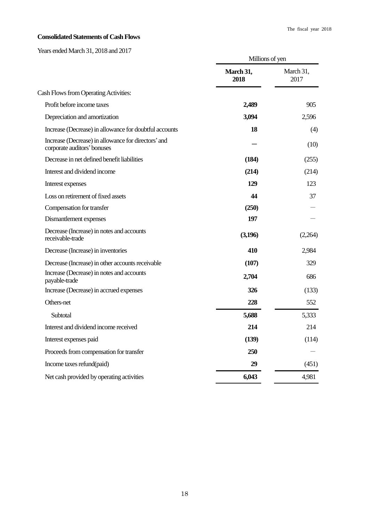# The fiscal year 2018

# **Consolidated Statements of Cash Flows**

Years ended March 31, 2018 and 2017

|                                                                                    | Millions of yen   |                   |  |
|------------------------------------------------------------------------------------|-------------------|-------------------|--|
|                                                                                    | March 31,<br>2018 | March 31,<br>2017 |  |
| Cash Flows from Operating Activities:                                              |                   |                   |  |
| Profit before income taxes                                                         | 2,489             | 905               |  |
| Depreciation and amortization                                                      | 3,094             | 2,596             |  |
| Increase (Decrease) in allowance for doubtful accounts                             | 18                | (4)               |  |
| Increase (Decrease) in allowance for directors' and<br>corporate auditors' bonuses |                   | (10)              |  |
| Decrease in net defined benefit liabilities                                        | (184)             | (255)             |  |
| Interest and dividend income                                                       | (214)             | (214)             |  |
| Interest expenses                                                                  | 129               | 123               |  |
| Loss on retirement of fixed assets                                                 | 44                | 37                |  |
| Compensation for transfer                                                          | (250)             |                   |  |
| Dismantlement expenses                                                             | 197               |                   |  |
| Decrease (Increase) in notes and accounts<br>receivable-trade                      | (3,196)           | (2,264)           |  |
| Decrease (Increase) in inventories                                                 | 410               | 2,984             |  |
| Decrease (Increase) in other accounts receivable                                   | (107)             | 329               |  |
| Increase (Decrease) in notes and accounts<br>payable-trade                         | 2,704             | 686               |  |
| Increase (Decrease) in accrued expenses                                            | 326               | (133)             |  |
| Others-net                                                                         | 228               | 552               |  |
| Subtotal                                                                           | 5,688             | 5,333             |  |
| Interest and dividend income received                                              | 214               | 214               |  |
| Interest expenses paid                                                             | (139)             | (114)             |  |
| Proceeds from compensation for transfer                                            | 250               |                   |  |
| Income taxes refund(paid)                                                          | 29                | (451)             |  |
| Net cash provided by operating activities                                          | 6,043             | 4,981             |  |
|                                                                                    |                   |                   |  |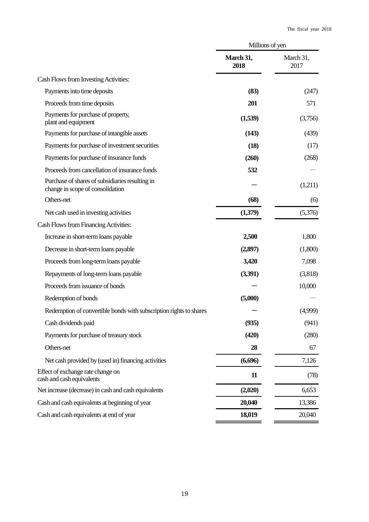|                                                                                     | Millions of yen   |                   |  |
|-------------------------------------------------------------------------------------|-------------------|-------------------|--|
|                                                                                     | March 31,<br>2018 | March 31,<br>2017 |  |
| Cash Flows from Investing Activities:                                               |                   |                   |  |
| Payments into time deposits                                                         | (83)              | (247)             |  |
| Proceeds from time deposits                                                         | 201               | 571               |  |
| Payments for purchase of property,<br>plant and equipment                           | (1,539)           | (3,756)           |  |
| Payments for purchase of intangible assets                                          | (143)             | (439)             |  |
| Payments for purchase of investment securities                                      | (18)              | (17)              |  |
| Payments for purchase of insurance funds                                            | (260)             | (268)             |  |
| Proceeds from cancellation of insurance funds                                       | 532               |                   |  |
| Purchase of shares of subsidiaries resulting in<br>change in scope of consolidation |                   | (1,211)           |  |
| Others-net                                                                          | (68)              | (6)               |  |
| Net cash used in investing activities                                               | (1,379)           | (5,376)           |  |
| Cash Flows from Financing Activities:                                               |                   |                   |  |
| Increase in short-term loans payable                                                | 2,500             | 1,800             |  |
| Decrease in short-term loans payable                                                | (2,897)           | (1,800)           |  |
| Proceeds from long-term loans payable                                               | 3,420             | 7,098             |  |
| Repayments of long-term loans payable                                               | (3,391)           | (3,818)           |  |
| Proceeds from issuance of bonds                                                     |                   | 10,000            |  |
| Redemption of bonds                                                                 | (5,000)           |                   |  |
| Redemption of convertible bonds with subscription rights to shares                  |                   | (4,999)           |  |
| Cash dividends paid                                                                 | (935)             | (941)             |  |
| Payments for purchase of treasury stock                                             | (420)             | (280)             |  |
| Others-net                                                                          | 28                | 67                |  |
| Net cash provided by (used in) financing activities                                 | (6,696)           | 7,126             |  |
| Effect of exchange rate change on<br>cash and cash equivalents                      | 11                | (78)              |  |
| Net increase (decrease) in cash and cash equivalents                                | (2,020)           | 6,653             |  |
| Cash and cash equivalents at beginning of year                                      | 20,040            | 13,386            |  |
| Cash and cash equivalents at end of year                                            | 18,019            | 20,040            |  |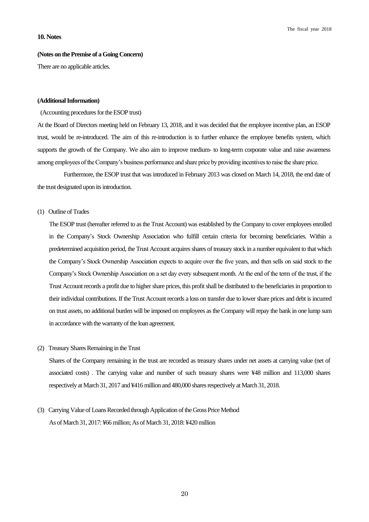#### **10. Notes**

#### **(Notes on the Premise of a Going Concern)**

There are no applicable articles.

#### **(Additional Information)**

(Accounting procedures for the ESOP trust)

At the Board of Directors meeting held on February 13, 2018, and it was decided that the employee incentive plan, an ESOP trust, would be re-introduced. The aim of this re-introduction is to further enhance the employee benefits system, which supports the growth of the Company. We also aim to improve medium- to long-term corporate value and raise awareness among employees of the Company's business performance and share price by providing incentives to raise the share price.

Furthermore, the ESOP trust that was introduced in February 2013 was closed on March 14, 2018, the end date of the trust designated upon its introduction.

(1) Outline of Trades

The ESOP trust (hereafter referred to as the Trust Account) was established by the Company to cover employees enrolled in the Company's Stock Ownership Association who fulfill certain criteria for becoming beneficiaries. Within a predetermined acquisition period, the Trust Account acquires shares of treasury stock in a number equivalent to that which the Company's Stock Ownership Association expects to acquire over the five years, and then sells on said stock to the Company's Stock Ownership Association on a set day every subsequent month. At the end of the term of the trust, if the Trust Account records a profit due to higher share prices, this profit shall be distributed to the beneficiaries in proportion to their individual contributions. If the Trust Account records a loss on transfer due to lower share prices and debt is incurred on trust assets, no additional burden will be imposed on employees as the Company will repay the bank in one lump sum in accordance with the warranty of the loan agreement.

(2) Treasury Shares Remaining in the Trust

Shares of the Company remaining in the trust are recorded as treasury shares under net assets at carrying value (net of associated costs) . The carrying value and number of such treasury shares were ¥48 million and 113,000 shares respectively at March 31, 2017 and ¥416 million and 480,000 shares respectively at March 31, 2018.

(3) Carrying Value of Loans Recorded through Application of the Gross Price Method As of March 31, 2017: ¥66 million; As of March 31, 2018: ¥420 million

20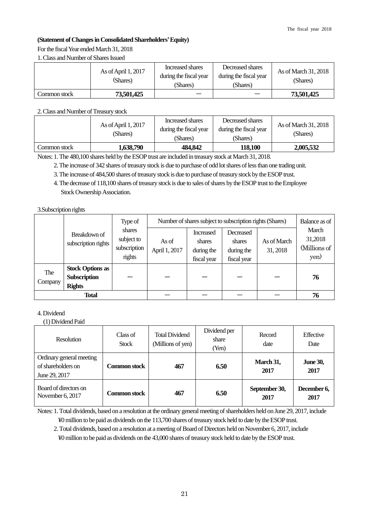# **(Statement of Changes in Consolidated Shareholders'Equity)**

For the fiscal Year ended March 31, 2018

| 1. Class and Number of Shares Issued |  |
|--------------------------------------|--|
|                                      |  |

|              | As of April 1, 2017<br>(Shares) | Increased shares<br>during the fiscal year<br>(Shares) | Decreased shares<br>during the fiscal year<br>(Shares) | As of March 31, 2018<br>(Shares) |
|--------------|---------------------------------|--------------------------------------------------------|--------------------------------------------------------|----------------------------------|
| Common stock | 73,501,425                      |                                                        |                                                        | 73,501,425                       |

## 2. Class and Number of Treasury stock

|              | As of April 1, 2017<br>(Shares) | Increased shares<br>during the fiscal year<br>(Shares) | Decreased shares<br>during the fiscal year<br>(Shares) | As of March 31, 2018<br>(Shares) |
|--------------|---------------------------------|--------------------------------------------------------|--------------------------------------------------------|----------------------------------|
| Common stock | 1,638,790                       | 484,842                                                | 118,100                                                | 2,005,532                        |

Notes: 1. The 480,100 shares held by the ESOP trust are included in treasury stock at March 31, 2018.

2. The increase of 342 shares of treasury stock is due to purchase of odd lot shares of less than one trading unit.

3. The increase of 484,500 shares of treasury stock is due to purchase of treasury stock by the ESOP trust.

4. The decrease of 118,100 shares of treasury stock is due to sales of shares by the ESOP trust to the Employee Stock Ownership Association.

## 3.Subscription rights

|                | Breakdown of<br>subscription rights                             | Type of<br>shares<br>subject to<br>subscription<br>rights | Number of shares subject to subscription rights (Shares) | Balance as of                                           |                                                  |                         |                                          |
|----------------|-----------------------------------------------------------------|-----------------------------------------------------------|----------------------------------------------------------|---------------------------------------------------------|--------------------------------------------------|-------------------------|------------------------------------------|
|                |                                                                 |                                                           | As of<br>April 1, 2017                                   | <b>Increased</b><br>shares<br>during the<br>fiscal year | Decreased<br>shares<br>during the<br>fiscal year | As of March<br>31, 2018 | March<br>31,2018<br>(Millions of<br>yen) |
| The<br>Company | <b>Stock Options as</b><br><b>Subscription</b><br><b>Rights</b> |                                                           |                                                          |                                                         |                                                  |                         | 76                                       |
| <b>Total</b>   |                                                                 |                                                           |                                                          |                                                         |                                                  | 76                      |                                          |

## 4. Dividend

(1) Dividend Paid

| <b>Resolution</b>                                               | Class of<br>Stock   | <b>Total Dividend</b><br>(Millions of yen) | Dividend per<br>share<br>Yen) | Record<br>date        | Effective<br>Date       |
|-----------------------------------------------------------------|---------------------|--------------------------------------------|-------------------------------|-----------------------|-------------------------|
| Ordinary general meeting<br>of shareholders on<br>June 29, 2017 | <b>Common stock</b> | 467                                        | 6.50                          | March 31,<br>2017     | <b>June 30,</b><br>2017 |
| Board of directors on<br>November 6, 2017                       | <b>Common stock</b> | 467                                        | 6.50                          | September 30,<br>2017 | December 6,<br>2017     |

Notes: 1. Total dividends, based on a resolution at the ordinary general meeting of shareholders held on June 29, 2017, include Notes: ¥0million to be paid as dividends on the 113,700 shares oftreasury stock held to date by the ESOP trust.

2. Total dividends, based on a resolution at a meeting of Board of Directors held on November 6, 2017, include ¥0 million to be paid as dividends on the 43,000 shares of treasury stock held to date by the ESOP trust.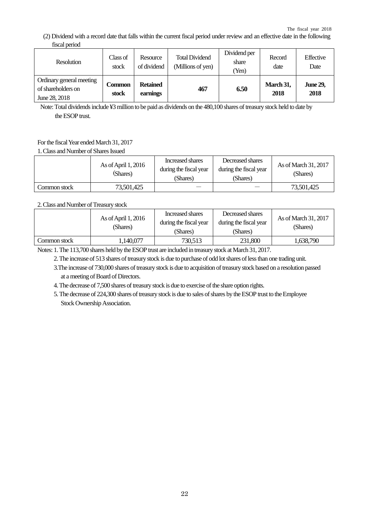(2) Dividend with a record date that falls within the current fiscal period under review and an effective date in the following fiscal period

| Resolution                                                      | Class of<br>stock | Resource<br>of dividend     | <b>Total Dividend</b><br>(Millions of yen) | Dividend per<br>share<br>Yen) | Record<br>date    | Effective<br>Date       |
|-----------------------------------------------------------------|-------------------|-----------------------------|--------------------------------------------|-------------------------------|-------------------|-------------------------|
| Ordinary general meeting<br>of shareholders on<br>June 28, 2018 | Common<br>stock   | <b>Retained</b><br>earnings | 467                                        | 6.50                          | March 31,<br>2018 | <b>June 29,</b><br>2018 |

Note: Total dividends include ¥3 million to be paid as dividends on the 480,100 shares of treasury stock held to date by the ESOP trust.

# For the fiscal Year ended March 31, 2017

# 1. Class and Number of Shares Issued

|              | As of April 1, 2016<br>(Shares) |  | Decreased shares<br>during the fiscal year<br>(Shares) | As of March 31, 2017<br>(Shares) |
|--------------|---------------------------------|--|--------------------------------------------------------|----------------------------------|
| Common stock | 73,501,425                      |  |                                                        | 73,501,425                       |

# 2. Class and Number of Treasury stock

|              | As of April 1, 2016<br>(Shares) | Increased shares<br>during the fiscal year<br>(Shares) | Decreased shares<br>during the fiscal year<br>(Shares) | As of March 31, 2017<br>(Shares) |
|--------------|---------------------------------|--------------------------------------------------------|--------------------------------------------------------|----------------------------------|
| Common stock | ,140,077                        | 730,513                                                | 231,800                                                | 1,638,790                        |

Notes: 1. The 113,700 shares held by the ESOP trust are included in treasury stock at March 31, 2017.

2. The increase of 513 shares of treasury stock is due to purchase of odd lot shares of less than one trading unit.

3. The increase of 730,000 shares of treasury stock is due to acquisition of treasury stock based on a resolution passed at a meeting of Board of Directors.

4. The decrease of 7,500 shares of treasury stock is due to exercise of the share option rights.

5. The decrease of 224,300 shares of treasury stock is due to sales of shares by the ESOP trust to the Employee Stock Ownership Association.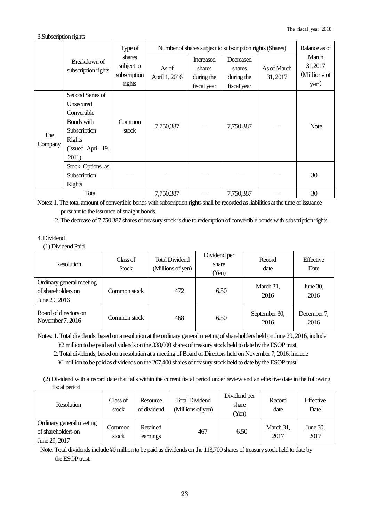### 3.Subscription rights

|                |                                                                                                                           | Type of                                        | Number of shares subject to subscription rights (Shares) | Balance as of                                           |                                                  |                         |                                          |
|----------------|---------------------------------------------------------------------------------------------------------------------------|------------------------------------------------|----------------------------------------------------------|---------------------------------------------------------|--------------------------------------------------|-------------------------|------------------------------------------|
|                | Breakdown of<br>subscription rights                                                                                       | shares<br>subject to<br>subscription<br>rights | As of<br>April 1, 2016                                   | <b>Increased</b><br>shares<br>during the<br>fiscal year | Decreased<br>shares<br>during the<br>fiscal year | As of March<br>31, 2017 | March<br>31,2017<br>(Millions of<br>yen) |
| The<br>Company | Second Series of<br>Unsecured<br>Convertible<br>Bonds with<br>Subscription<br><b>Rights</b><br>(Issued April 19,<br>2011) | Common<br>stock                                | 7,750,387                                                |                                                         | 7,750,387                                        |                         | <b>Note</b>                              |
|                | Stock Options as<br>Subscription<br><b>Rights</b>                                                                         |                                                |                                                          |                                                         |                                                  |                         | 30                                       |
| Total          |                                                                                                                           | 7,750,387                                      |                                                          | 7,750,387                                               |                                                  | 30                      |                                          |

Notes: 1. The total amount of convertible bonds with subscription rights shall be recorded as liabilities at the time of issuance pursuant to the issuance of straight bonds.

2. The decrease of 7,750,387 shares of treasury stock is due to redemption of convertible bonds with subscription rights.

## 4. Dividend

(1) Dividend Paid

| <b>Resolution</b>                                               | Class of<br><b>Stock</b> | <b>Total Dividend</b><br>(Millions of yen) | Dividend per<br>share<br>(Yen) | Record<br>date        | Effective<br>Date   |
|-----------------------------------------------------------------|--------------------------|--------------------------------------------|--------------------------------|-----------------------|---------------------|
| Ordinary general meeting<br>of shareholders on<br>June 29, 2016 | Common stock             | 472                                        | 6.50                           | March 31,<br>2016     | June 30,<br>2016    |
| Board of directors on<br>November 7, 2016                       | Common stock             | 468                                        | 6.50                           | September 30,<br>2016 | December 7,<br>2016 |

Notes: 1. Total dividends, based on a resolution at the ordinary general meeting of shareholders held on June 29, 2016, include ¥2 million to be paid as dividends on the 338,000 shares of treasury stock held to date by the ESOP trust.

2. Total dividends, based on a resolution at a meeting of Board of Directors held on November 7, 2016, include ¥1 million to be paid as dividends on the 207,400 shares of treasury stock held to date by the ESOP trust.

# (2) Dividend with a record date that falls within the current fiscal period under review and an effective date in the following fiscal period

| <b>Resolution</b>                                               | Class of<br>stock | Resource<br>of dividend | <b>Total Dividend</b><br>(Millions of yen) | Dividend per<br>share<br>Yen) | Record<br>date    | <b>Effective</b><br>Date |
|-----------------------------------------------------------------|-------------------|-------------------------|--------------------------------------------|-------------------------------|-------------------|--------------------------|
| Ordinary general meeting<br>of shareholders on<br>June 29, 2017 | Common<br>stock   | Retained<br>earnings    | 467                                        | 6.50                          | March 31,<br>2017 | June 30,<br>2017         |

Note: Total dividends include ¥0 million to be paid as dividends on the 113,700 shares of treasury stock held to date by the ESOP trust.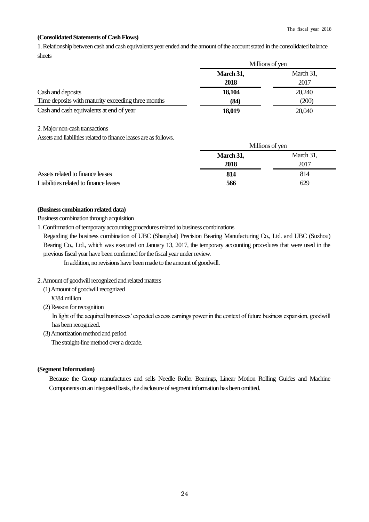### **(Consolidated Statements of Cash Flows)**

1. Relationship between cash and cash equivalents year ended and the amount of the account stated in the consolidated balance sheets

|                                                    |           | Millions of yen |  |  |
|----------------------------------------------------|-----------|-----------------|--|--|
|                                                    | March 31, | March 31,       |  |  |
|                                                    | 2018      | 2017            |  |  |
| Cash and deposits                                  | 18,104    | 20,240          |  |  |
| Time deposits with maturity exceeding three months | (84)      | (200)           |  |  |
| Cash and cash equivalents at end of year           | 18,019    | 20,040          |  |  |

#### 2. Major non-cash transactions

Assets and liabilities related to finance leases are as follows.

|                                       |           | Millions of yen |
|---------------------------------------|-----------|-----------------|
|                                       | March 31, | March 31,       |
|                                       | 2018      | 2017            |
| Assets related to finance leases      | 814       | 814             |
| Liabilities related to finance leases | 566       | 629             |

### **(Business combination related data)**

Business combination through acquisition

1. Confirmation of temporary accounting procedures related to business combinations Regarding the business combination of UBC (Shanghai) Precision Bearing Manufacturing Co., Ltd. and UBC (Suzhou) Bearing Co., Ltd., which was executed on January 13, 2017, the temporary accounting procedures that were used in the previous fiscal year have been confirmed for the fiscal year under review.

In addition, no revisions have been made to the amount of goodwill.

#### 2. Amount of goodwill recognized and related matters

- (1) Amount of goodwill recognized ¥384 million
- (2) Reason for recognition

In light of the acquired businesses' expected excess earnings power in the context of future business expansion, goodwill has been recognized.

(3)Amortization method and period

The straight-line method over a decade.

#### **(Segment Information)**

Because the Group manufactures and sells Needle Roller Bearings, Linear Motion Rolling Guides and Machine Components on an integrated basis, the disclosure of segment information has been omitted.